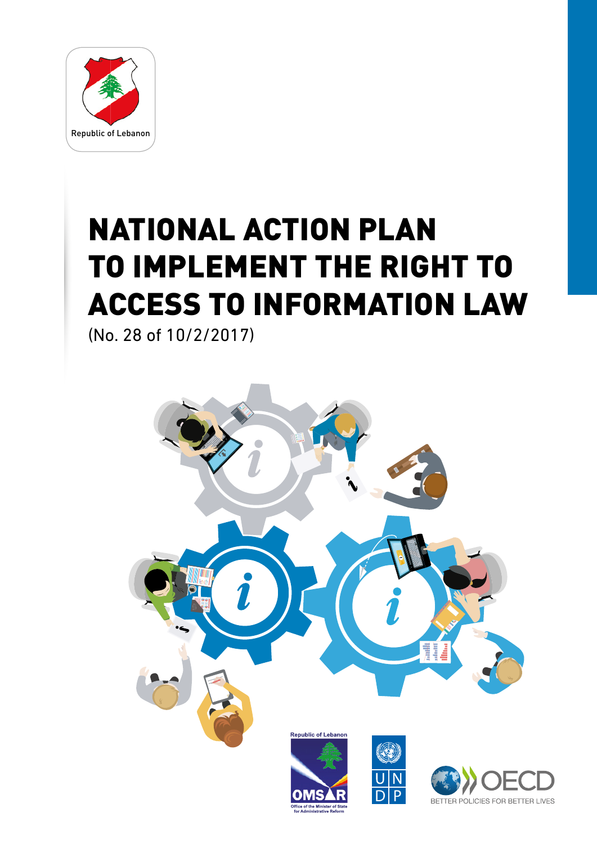

# NATIONAL ACTION PLAN TO IMPLEMENT THE RIGHT TO ACCESS TO INFORMATION LAW

(No. 28 of 10/2/2017)

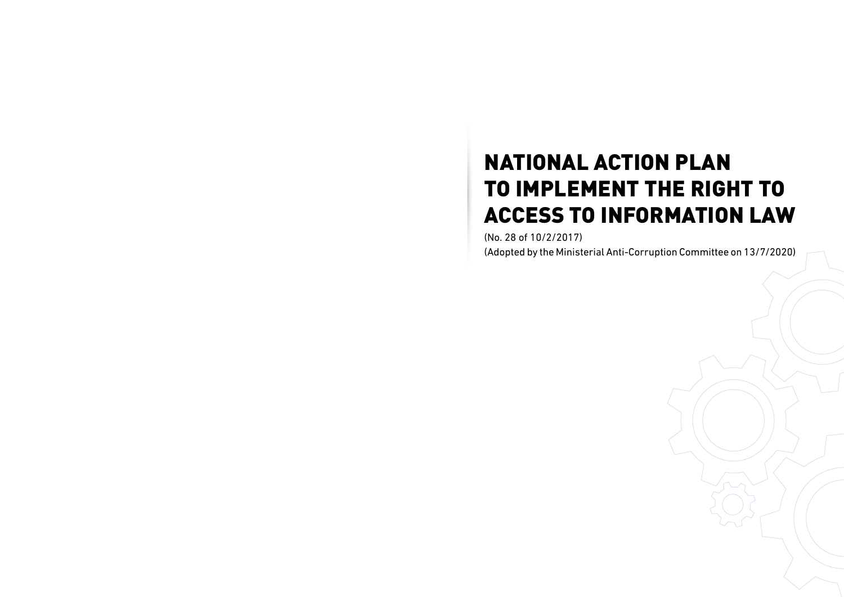# NATIONAL ACTION PLAN TO IMPLEMENT THE RIGHT TO ACCESS TO INFORMATION LAW

(No. 28 of 10/2/2017) (Adopted by the Ministerial Anti-Corruption Committee on 13/7/2020)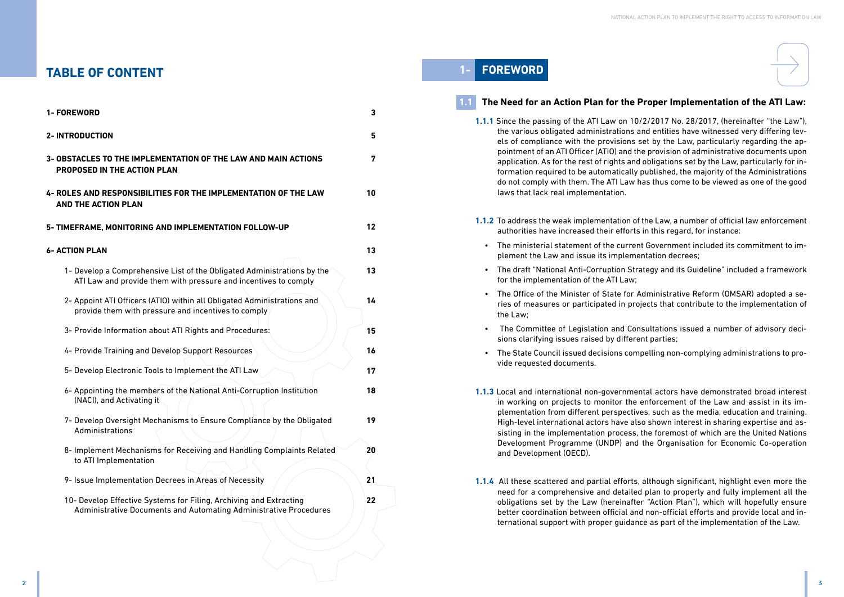

# **1- FOREWORD**

# **1.1 The Need for an Action Plan for the Proper Implementation of the ATI Law:**

**1.1.1** Since the passing of the ATI Law on 10/2/2017 No. 28/2017, (hereinafter "the Law"), the various obligated administrations and entities have witnessed very differing levels of compliance with the provisions set by the Law, particularly regarding the appointment of an ATI Officer (ATIO) and the provision of administrative documents upon application. As for the rest of rights and obligations set by the Law, particularly for information required to be automatically published, the majority of the Administrations do not comply with them. The ATI Law has thus come to be viewed as one of the good

- laws that lack real implementation.
- **1.1.2** To address the weak implementation of the Law, a number of official law enforcement authorities have increased their efforts in this regard, for instance:
	- The ministerial statement of the current Government included its commitment to implement the Law and issue its implementation decrees;
	- The draft "National Anti-Corruption Strategy and its Guideline" included a framework for the implementation of the ATI Law;
	- The Office of the Minister of State for Administrative Reform (OMSAR) adopted a series of measures or participated in projects that contribute to the implementation of the Law;
	- The Committee of Legislation and Consultations issued a number of advisory decisions clarifying issues raised by different parties;
	- The State Council issued decisions compelling non-complying administrations to provide requested documents.
- and Development (OECD).
- 

**1.1.3** Local and international non-governmental actors have demonstrated broad interest in working on projects to monitor the enforcement of the Law and assist in its implementation from different perspectives, such as the media, education and training. High-level international actors have also shown interest in sharing expertise and assisting in the implementation process, the foremost of which are the United Nations Development Programme (UNDP) and the Organisation for Economic Co-operation

**1.1.4** All these scattered and partial efforts, although significant, highlight even more the need for a comprehensive and detailed plan to properly and fully implement all the obligations set by the Law (hereinafter "Action Plan"), which will hopefully ensure better coordination between official and non-official efforts and provide local and international support with proper guidance as part of the implementation of the Law.

# **TABLE OF CONTENT**

| 1- FOREWORD                                                                                                                                    | 3  |
|------------------------------------------------------------------------------------------------------------------------------------------------|----|
| <b>2-INTRODUCTION</b>                                                                                                                          | 5  |
| 3- OBSTACLES TO THE IMPLEMENTATION OF THE LAW AND MAIN ACTIONS<br><b>PROPOSED IN THE ACTION PLAN</b>                                           | 7  |
| 4- ROLES AND RESPONSIBILITIES FOR THE IMPLEMENTATION OF THE LAW<br><b>AND THE ACTION PLAN</b>                                                  | 10 |
| 5- TIMEFRAME, MONITORING AND IMPLEMENTATION FOLLOW-UP                                                                                          | 12 |
| <b>6- ACTION PLAN</b>                                                                                                                          | 13 |
| 1- Develop a Comprehensive List of the Obligated Administrations by the<br>ATI Law and provide them with pressure and incentives to comply     | 13 |
| 2- Appoint ATI Officers (ATIO) within all Obligated Administrations and<br>provide them with pressure and incentives to comply                 | 14 |
| 3- Provide Information about ATI Rights and Procedures:                                                                                        | 15 |
| 4- Provide Training and Develop Support Resources                                                                                              | 16 |
| 5- Develop Electronic Tools to Implement the ATI Law                                                                                           | 17 |
| 6- Appointing the members of the National Anti-Corruption Institution<br>(NACI), and Activating it                                             | 18 |
| 7- Develop Oversight Mechanisms to Ensure Compliance by the Obligated<br>Administrations                                                       | 19 |
| 8- Implement Mechanisms for Receiving and Handling Complaints Related<br>to ATI Implementation                                                 | 20 |
| 9- Issue Implementation Decrees in Areas of Necessity                                                                                          | 21 |
| 10- Develop Effective Systems for Filing, Archiving and Extracting<br><b>Administrative Documents and Automating Administrative Procedures</b> | 22 |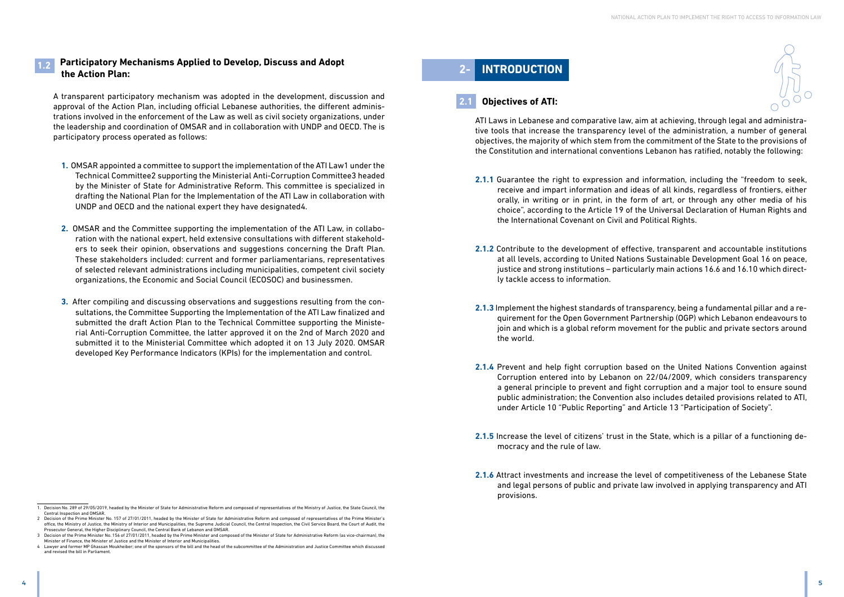

#### **1.2 Participatory Mechanisms Applied to Develop, Discuss and Adopt the Action Plan:**

A transparent participatory mechanism was adopted in the development, discussion and approval of the Action Plan, including official Lebanese authorities, the different administrations involved in the enforcement of the Law as well as civil society organizations, under the leadership and coordination of OMSAR and in collaboration with UNDP and OECD. The is participatory process operated as follows:

- **1.** OMSAR appointed a committee to support the implementation of the ATI Law1 under the Technical Committee2 supporting the Ministerial Anti-Corruption Committee3 headed by the Minister of State for Administrative Reform. This committee is specialized in drafting the National Plan for the Implementation of the ATI Law in collaboration with UNDP and OECD and the national expert they have designated4.
- **2.** OMSAR and the Committee supporting the implementation of the ATI Law, in collaboration with the national expert, held extensive consultations with different stakeholders to seek their opinion, observations and suggestions concerning the Draft Plan. These stakeholders included: current and former parliamentarians, representatives of selected relevant administrations including municipalities, competent civil society organizations, the Economic and Social Council (ECOSOC) and businessmen.
- **3.** After compiling and discussing observations and suggestions resulting from the consultations, the Committee Supporting the Implementation of the ATI Law finalized and submitted the draft Action Plan to the Technical Committee supporting the Ministerial Anti-Corruption Committee, the latter approved it on the 2nd of March 2020 and submitted it to the Ministerial Committee which adopted it on 13 July 2020. OMSAR developed Key Performance Indicators (KPIs) for the implementation and control.

# **2- INTRODUCTION**

#### **2.1 Objectives of ATI:**

ATI Laws in Lebanese and comparative law, aim at achieving, through legal and administrative tools that increase the transparency level of the administration, a number of general objectives, the majority of which stem from the commitment of the State to the provisions of the Constitution and international conventions Lebanon has ratified, notably the following:

**2.1.1** Guarantee the right to expression and information, including the "freedom to seek, receive and impart information and ideas of all kinds, regardless of frontiers, either orally, in writing or in print, in the form of art, or through any other media of his choice", according to the Article 19 of the Universal Declaration of Human Rights and

**2.1.2** Contribute to the development of effective, transparent and accountable institutions at all levels, according to United Nations Sustainable Development Goal 16 on peace, justice and strong institutions – particularly main actions 16.6 and 16.10 which direct-

**2.1.3** Implement the highest standards of transparency, being a fundamental pillar and a requirement for the Open Government Partnership (OGP) which Lebanon endeavours to join and which is a global reform movement for the public and private sectors around

- the International Covenant on Civil and Political Rights.
- ly tackle access to information.
- the world.
- under Article 10 "Public Reporting" and Article 13 "Participation of Society".
- mocracy and the rule of law.
- provisions.

**2.1.4** Prevent and help fight corruption based on the United Nations Convention against Corruption entered into by Lebanon on 22/04/2009, which considers transparency a general principle to prevent and fight corruption and a major tool to ensure sound public administration; the Convention also includes detailed provisions related to ATI,

**2.1.5** Increase the level of citizens' trust in the State, which is a pillar of a functioning de-

**2.1.6** Attract investments and increase the level of competitiveness of the Lebanese State and legal persons of public and private law involved in applying transparency and ATI

<sup>1.</sup> Decision No. 289 of 29/05/2019, headed by the Minister of State for Administrative Reform and composed of representatives of the Ministry of Justice, the State Council, the Central Inspection and OMSAR.

<sup>2</sup> Decision of the Prime Minister No. 157 of 27/01/2011, headed by the Minister of State for Administrative Reform and composed of representatives of the Prime Minister's office, the Ministry of Justice, the Ministry of Interior and Municipalities, the Supreme Judicial Council, the Central Inspection, the Civil Service Board, the Court of Audit, the Prosecutor General, the Higher Disciplinary Council, the Central Bank of Lebanon and OMSAR.

<sup>3</sup> Decision of the Prime Minister No. 156 of 27/01/2011, headed by the Prime Minister and composed of the Minister of State for Administrative Reform (as vice-chairman), the Minister of Finance, the Minister of Justice and the Minister of Interior and Municipalities.

<sup>4</sup> Lawyer and former MP Ghassan Moukheiber; one of the sponsors of the bill and the head of the subcommittee of the Administration and Justice Committee which discussed and revised the bill in Parliament.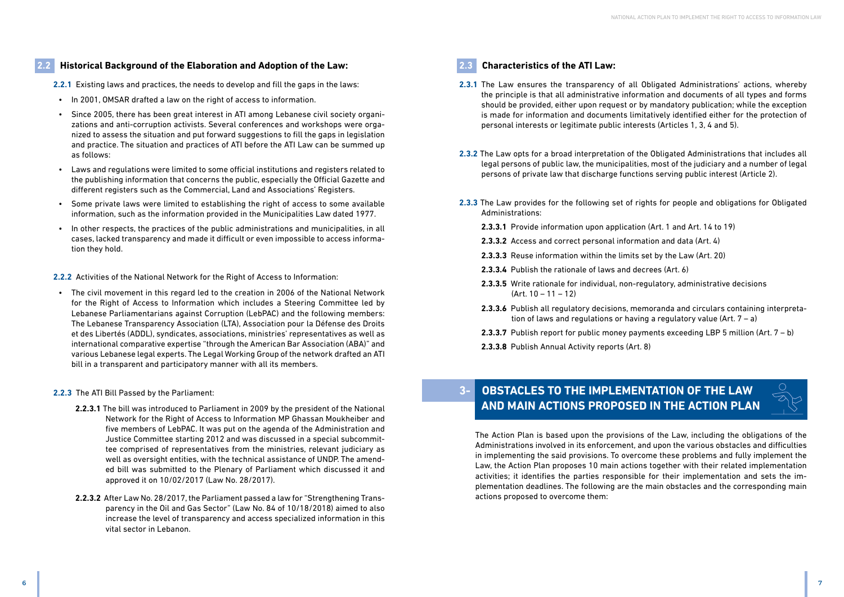## **2.2 Historical Background of the Elaboration and Adoption of the Law:**

**2.2.1** Existing laws and practices, the needs to develop and fill the gaps in the laws:

- In 2001, OMSAR drafted a law on the right of access to information.
- Since 2005, there has been great interest in ATI among Lebanese civil society organizations and anti-corruption activists. Several conferences and workshops were organized to assess the situation and put forward suggestions to fill the gaps in legislation and practice. The situation and practices of ATI before the ATI Law can be summed up as follows:
- Laws and regulations were limited to some official institutions and registers related to the publishing information that concerns the public, especially the Official Gazette and different registers such as the Commercial, Land and Associations' Registers.
- Some private laws were limited to establishing the right of access to some available information, such as the information provided in the Municipalities Law dated 1977.
- In other respects, the practices of the public administrations and municipalities, in all cases, lacked transparency and made it difficult or even impossible to access information they hold.

**2.2.2** Activities of the National Network for the Right of Access to Information:

• The civil movement in this regard led to the creation in 2006 of the National Network for the Right of Access to Information which includes a Steering Committee led by Lebanese Parliamentarians against Corruption (LebPAC) and the following members: The Lebanese Transparency Association (LTA), Association pour la Défense des Droits et des Libertés (ADDL), syndicates, associations, ministries' representatives as well as international comparative expertise "through the American Bar Association (ABA)" and various Lebanese legal experts. The Legal Working Group of the network drafted an ATI bill in a transparent and participatory manner with all its members.

#### **2.2.3** The ATI Bill Passed by the Parliament:

# **OBSTACLES TO THE IMPLEMENTATION OF THE LAW AND MAIN ACTIONS PROPOSED IN THE ACTION PLAN**

- **2.2.3.1** The bill was introduced to Parliament in 2009 by the president of the National Network for the Right of Access to Information MP Ghassan Moukheiber and five members of LebPAC. It was put on the agenda of the Administration and Justice Committee starting 2012 and was discussed in a special subcommittee comprised of representatives from the ministries, relevant judiciary as well as oversight entities, with the technical assistance of UNDP. The amended bill was submitted to the Plenary of Parliament which discussed it and approved it on 10/02/2017 (Law No. 28/2017).
- **2.2.3.2** After Law No. 28/2017, the Parliament passed a law for "Strengthening Transparency in the Oil and Gas Sector" (Law No. 84 of 10/18/2018) aimed to also increase the level of transparency and access specialized information in this vital sector in Lebanon.

# **2.3 Characteristics of the ATI Law:**

the principle is that all administrative information and documents of all types and forms should be provided, either upon request or by mandatory publication; while the exception is made for information and documents limitatively identified either for the protection of

legal persons of public law, the municipalities, most of the judiciary and a number of legal

- **2.3.1** The Law ensures the transparency of all Obligated Administrations' actions, whereby personal interests or legitimate public interests (Articles 1, 3, 4 and 5).
- **2.3.2** The Law opts for a broad interpretation of the Obligated Administrations that includes all persons of private law that discharge functions serving public interest (Article 2).
- **2.3.3** The Law provides for the following set of rights for people and obligations for Obligated Administrations:
	- **2.3.3.1** Provide information upon application (Art. 1 and Art. 14 to 19)
	- **2.3.3.2** Access and correct personal information and data (Art. 4)
	- **2.3.3.3** Reuse information within the limits set by the Law (Art. 20)
	- **2.3.3.4** Publish the rationale of laws and decrees (Art. 6)
	- **2.3.3.5** Write rationale for individual, non-regulatory, administrative decisions (Art. 10 – 11 – 12)
	- tion of laws and regulations or having a regulatory value (Art. 7 a)
	- **2.3.3.7** Publish report for public money payments exceeding LBP 5 million (Art. 7 b)
	- **2.3.3.8** Publish Annual Activity reports (Art. 8)

**2.3.3.6** Publish all regulatory decisions, memoranda and circulars containing interpreta-



The Action Plan is based upon the provisions of the Law, including the obligations of the Administrations involved in its enforcement, and upon the various obstacles and difficulties in implementing the said provisions. To overcome these problems and fully implement the Law, the Action Plan proposes 10 main actions together with their related implementation activities; it identifies the parties responsible for their implementation and sets the implementation deadlines. The following are the main obstacles and the corresponding main actions proposed to overcome them: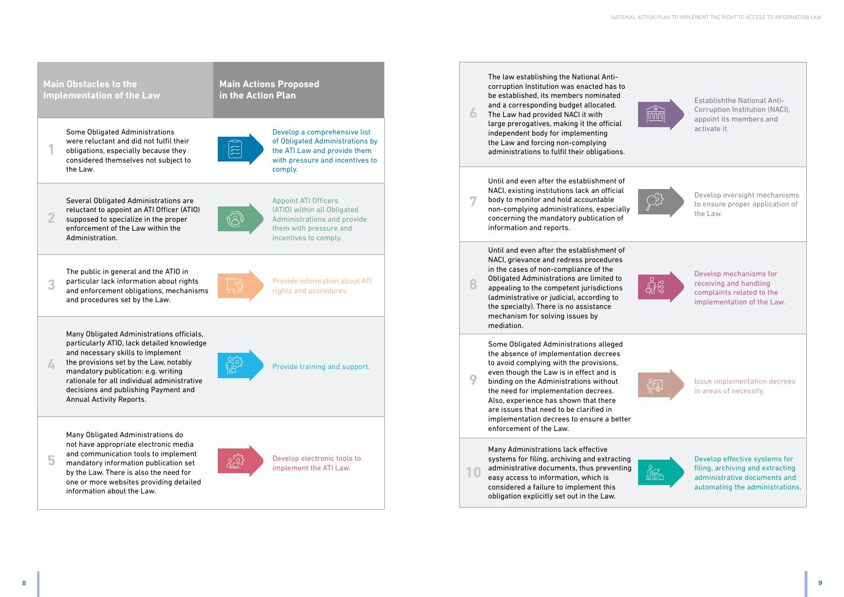

The law establishing the National Anti-

| <b>Main Obstacles to the</b><br><b>Implementation of the Law</b>                                                                                                                                                                                                                                                                             | <b>Main Actions Proposed</b><br>in the Action Plan |                                                                                                                                               |
|----------------------------------------------------------------------------------------------------------------------------------------------------------------------------------------------------------------------------------------------------------------------------------------------------------------------------------------------|----------------------------------------------------|-----------------------------------------------------------------------------------------------------------------------------------------------|
| <b>Some Obligated Administrations</b><br>were reluctant and did not fulfil their<br>obligations, especially because they<br>considered themselves not subject to<br>the Law.                                                                                                                                                                 |                                                    | Develop a comprehensive list<br>of Obligated Administrations by<br>the ATI Law and provide them<br>with pressure and incentives to<br>comply. |
| Several Obligated Administrations are<br>reluctant to appoint an ATI Officer (ATIO)<br>2<br>supposed to specialize in the proper<br>enforcement of the Law within the<br>Administration.                                                                                                                                                     |                                                    | <b>Appoint ATI Officers</b><br>(ATIO) within all Obligated<br>Administrations and provide<br>them with pressure and<br>incentives to comply.  |
| The public in general and the ATIO in<br>particular lack information about rights<br>and enforcement obligations, mechanisms<br>and procedures set by the Law.                                                                                                                                                                               |                                                    | <b>Provide information about ATI</b><br>rights and procedures.                                                                                |
| Many Obligated Administrations officials,<br>particularly ATIO, lack detailed knowledge<br>and necessary skills to implement<br>the provisions set by the Law, notably<br>4<br>mandatory publication: e.g. writing<br>rationale for all individual administrative<br>decisions and publishing Payment and<br><b>Annual Activity Reports.</b> |                                                    | Provide training and support.                                                                                                                 |
| Many Obligated Administrations do<br>not have appropriate electronic media<br>and communication tools to implement<br>5<br>mandatory information publication set<br>by the Law. There is also the need for<br>one or more websites providing detailed<br>information about the Law.                                                          |                                                    | Develop electronic tools to<br>implement the ATI Law.                                                                                         |

Establishthe National Anti-Corruption Institution (NACI), appoint its members and activate it.



Develop oversight mechanisms to ensure proper application of the Law.



corruption Institution was enacted has to be established, its members nominated and a corresponding budget allocated. The Law had provided NACI it with large prerogatives, making it the official independent body for implementing the Law and forcing non-complying administrations to fulfil their obligations. Until and even after the establishment of NACI, existing institutions lack an official body to monitor and hold accountable non-complying administrations, especially concerning the mandatory publication of information and reports. Until and even after the establishment of NACI, grievance and redress procedures in the cases of non-compliance of the Obligated Administrations are limited to appealing to the competent jurisdictions (administrative or judicial, according to the specialty). There is no assistance mechanism for solving issues by mediation. Some Obligated Administrations alleged the absence of implementation decrees to avoid complying with the provisions, even though the Law is in effect and is binding on the Administrations without the need for implementation decrees. Also, experience has shown that there are issues that need to be clarified in implementation decrees to ensure a better enforcement of the Law. Many Administrations lack effective systems for filing, archiving and extracting administrative documents, thus preventing **6 10**

Develop mechanisms for receiving and handling complaints related to the implementation of the Law.



Issue implementation decrees in areas of necessity.



easy access to information, which is considered a failure to implement this obligation explicitly set out in the Law. Develop effective systems for filing, archiving and extracting administrative documents and automating the administrations.

**7**

**8**

**9**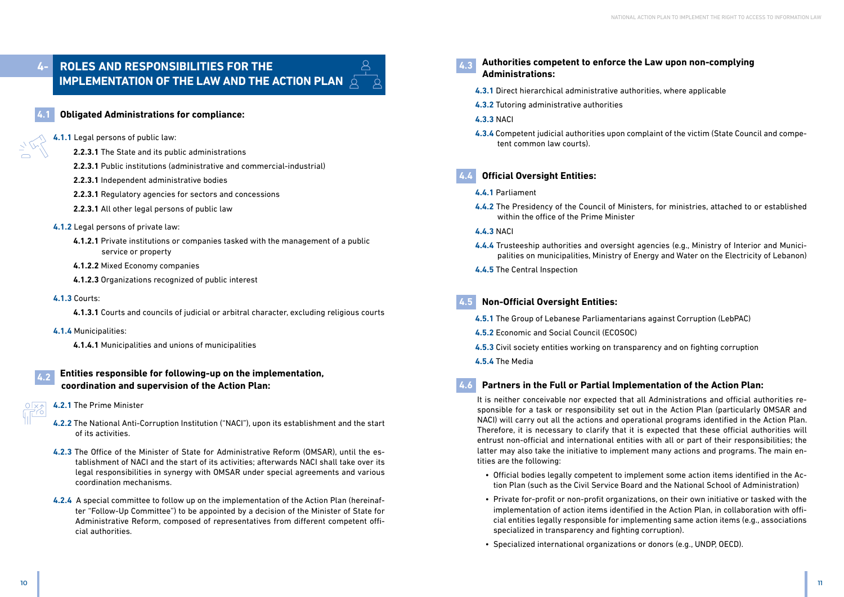# **4- ROLES AND RESPONSIBILITIES FOR THE IMPLEMENTATION OF THE LAW AND THE ACTION PLAN 6**



## **4.1 Obligated Administrations for compliance:**

#### **4.1.1** Legal persons of public law:

- **2.2.3.1** The State and its public administrations
- **2.2.3.1** Public institutions (administrative and commercial-industrial)
- **2.2.3.1** Independent administrative bodies
- **2.2.3.1** Regulatory agencies for sectors and concessions
- **2.2.3.1** All other legal persons of public law
- **4.1.2** Legal persons of private law:
	- **4.1.2.1** Private institutions or companies tasked with the management of a public service or property
	- **4.1.2.2** Mixed Economy companies
	- **4.1.2.3** Organizations recognized of public interest
- **4.1.3** Courts:

**4.1.3.1** Courts and councils of judicial or arbitral character, excluding religious courts

- **4.1.4** Municipalities:
	- **4.1.4.1** Municipalities and unions of municipalities

# **4.2 Entities responsible for following-up on the implementation, coordination and supervision of the Action Plan:**

- **4.2.1** The Prime Minister
- **4.2.2** The National Anti-Corruption Institution ("NACI"), upon its establishment and the start of its activities.
- **4.2.3** The Office of the Minister of State for Administrative Reform (OMSAR), until the establishment of NACI and the start of its activities; afterwards NACI shall take over its legal responsibilities in synergy with OMSAR under special agreements and various coordination mechanisms.
- **4.2.4** A special committee to follow up on the implementation of the Action Plan (hereinafter "Follow-Up Committee") to be appointed by a decision of the Minister of State for Administrative Reform, composed of representatives from different competent official authorities.
- **4.3 Authorities competent to enforce the Law upon non-complying Administrations:**
	- **4.3.1** Direct hierarchical administrative authorities, where applicable
	- **4.3.2** Tutoring administrative authorities
	- **4.3.3** NACI
	- tent common law courts).

**4.3.4** Competent judicial authorities upon complaint of the victim (State Council and compe-

# **4.4 Official Oversight Entities:**

## **4.4.1** Parliament

**4.4.2** The Presidency of the Council of Ministers, for ministries, attached to or established

- within the office of the Prime Minister
- **4.4.3** NACI
- 
- **4.4.5** The Central Inspection

**4.4.4** Trusteeship authorities and oversight agencies (e.g., Ministry of Interior and Municipalities on municipalities, Ministry of Energy and Water on the Electricity of Lebanon)

# **4.5 Non-Official Oversight Entities:**

- **4.5.1** The Group of Lebanese Parliamentarians against Corruption (LebPAC)
- **4.5.2** Economic and Social Council (ECOSOC)
- **4.5.3** Civil society entities working on transparency and on fighting corruption
- **4.5.4** The Media

# **4.6 Partners in the Full or Partial Implementation of the Action Plan:**

It is neither conceivable nor expected that all Administrations and official authorities responsible for a task or responsibility set out in the Action Plan (particularly OMSAR and NACI) will carry out all the actions and operational programs identified in the Action Plan. Therefore, it is necessary to clarify that it is expected that these official authorities will entrust non-official and international entities with all or part of their responsibilities; the latter may also take the initiative to implement many actions and programs. The main entities are the following:

• Official bodies legally competent to implement some action items identified in the Action Plan (such as the Civil Service Board and the National School of Administration)

• Private for-profit or non-profit organizations, on their own initiative or tasked with the implementation of action items identified in the Action Plan, in collaboration with official entities legally responsible for implementing same action items (e.g., associations

- 
- specialized in transparency and fighting corruption).
- Specialized international organizations or donors (e.g., UNDP, OECD).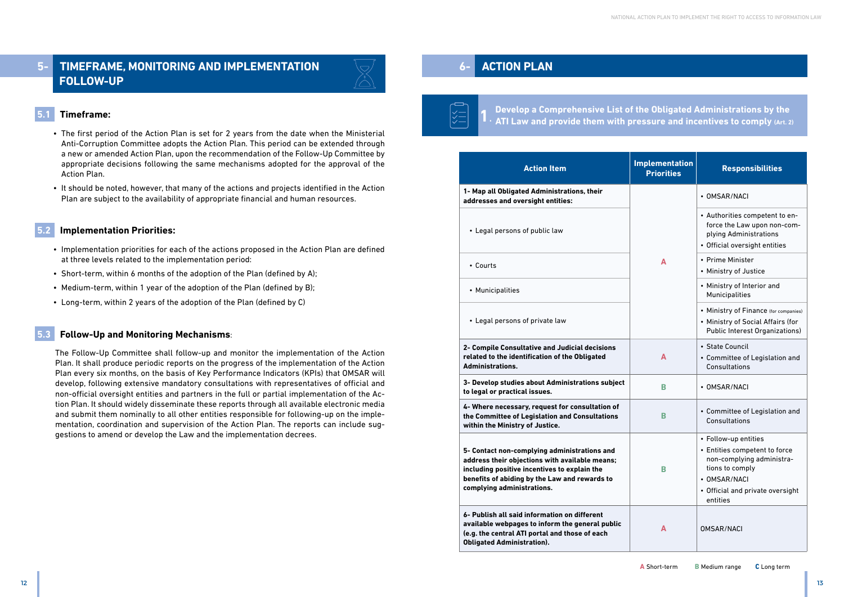# **5- TIMEFRAME, MONITORING AND IMPLEMENTATION FOLLOW-UP**



# **5.1 Timeframe:**

- The first period of the Action Plan is set for 2 years from the date when the Ministerial Anti-Corruption Committee adopts the Action Plan. This period can be extended through a new or amended Action Plan, upon the recommendation of the Follow-Up Committee by appropriate decisions following the same mechanisms adopted for the approval of the Action Plan.
- It should be noted, however, that many of the actions and projects identified in the Action Plan are subject to the availability of appropriate financial and human resources.

#### **5.2 Implementation Priorities:**

- Implementation priorities for each of the actions proposed in the Action Plan are defined at three levels related to the implementation period:
- Short-term, within 6 months of the adoption of the Plan (defined by A);
- Medium-term, within 1 year of the adoption of the Plan (defined by B);
- Long-term, within 2 years of the adoption of the Plan (defined by C)

## **5.3 Follow-Up and Monitoring Mechanisms**:

The Follow-Up Committee shall follow-up and monitor the implementation of the Action Plan. It shall produce periodic reports on the progress of the implementation of the Action Plan every six months, on the basis of Key Performance Indicators (KPIs) that OMSAR will develop, following extensive mandatory consultations with representatives of official and non-official oversight entities and partners in the full or partial implementation of the Action Plan. It should widely disseminate these reports through all available electronic media and submit them nominally to all other entities responsible for following-up on the implementation, coordination and supervision of the Action Plan. The reports can include suggestions to amend or develop the Law and the implementation decrees.

# **6- ACTION PLAN**



# **Develop a Comprehensive List of the Obligated Administrations by the ATI Law and provide them with pressure and incentives to comply (Art. 2)**

| <b>Action Item</b>                                                                                                                                                                                                            | <b>Implementation</b><br><b>Priorities</b> | <b>Responsibilities</b>                                                                                                                                   |
|-------------------------------------------------------------------------------------------------------------------------------------------------------------------------------------------------------------------------------|--------------------------------------------|-----------------------------------------------------------------------------------------------------------------------------------------------------------|
| 1- Map all Obligated Administrations, their<br>addresses and oversight entities:                                                                                                                                              |                                            | • OMSAR/NACI                                                                                                                                              |
| • Legal persons of public law                                                                                                                                                                                                 |                                            | • Authorities competent t<br>force the Law upon non<br>plying Administrations<br>• Official oversight entitie                                             |
| • Courts                                                                                                                                                                                                                      | A                                          | • Prime Minister<br>• Ministry of Justice                                                                                                                 |
| • Municipalities                                                                                                                                                                                                              |                                            | • Ministry of Interior and<br>Municipalities                                                                                                              |
| • Legal persons of private law                                                                                                                                                                                                |                                            | • Ministry of Finance (for c<br>• Ministry of Social Affair<br>Public Interest Organiza                                                                   |
| 2- Compile Consultative and Judicial decisions<br>related to the identification of the Obligated<br><b>Administrations.</b>                                                                                                   | A                                          | • State Council<br>• Committee of Legislatio<br>Consultations                                                                                             |
| 3- Develop studies about Administrations subject<br>to legal or practical issues.                                                                                                                                             | B                                          | • OMSAR/NACI                                                                                                                                              |
| 4- Where necessary, request for consultation of<br>the Committee of Legislation and Consultations<br>within the Ministry of Justice.                                                                                          | B                                          | • Committee of Legislatio<br>Consultations                                                                                                                |
| 5- Contact non-complying administrations and<br>address their objections with available means;<br>including positive incentives to explain the<br>benefits of abiding by the Law and rewards to<br>complying administrations. | В                                          | • Follow-up entities<br>• Entities competent to fo<br>non-complying adminis<br>tions to comply<br>• OMSAR/NACI<br>• Official and private over<br>entities |
| 6- Publish all said information on different<br>available webpages to inform the general public<br>(e.g. the central ATI portal and those of each<br><b>Obligated Administration).</b>                                        | A                                          | <b>OMSAR/NACI</b>                                                                                                                                         |

| mplementation<br><b>Priorities</b> | <b>Responsibilities</b>                                                                                                                                               |
|------------------------------------|-----------------------------------------------------------------------------------------------------------------------------------------------------------------------|
|                                    | • OMSAR/NACI                                                                                                                                                          |
|                                    | • Authorities competent to en-<br>force the Law upon non-com-<br>plying Administrations<br>• Official oversight entities                                              |
| A                                  | • Prime Minister<br>• Ministry of Justice                                                                                                                             |
|                                    | • Ministry of Interior and<br>Municipalities                                                                                                                          |
|                                    | • Ministry of Finance (for companies)<br>• Ministry of Social Affairs (for<br><b>Public Interest Organizations)</b>                                                   |
| A                                  | • State Council<br>• Committee of Legislation and<br>Consultations                                                                                                    |
| в                                  | • OMSAR/NACI                                                                                                                                                          |
| В                                  | • Committee of Legislation and<br>Consultations                                                                                                                       |
| в                                  | • Follow-up entities<br>• Entities competent to force<br>non-complying administra-<br>tions to comply<br>• OMSAR/NACI<br>• Official and private oversight<br>entities |
| А                                  | <b>OMSAR/NACI</b>                                                                                                                                                     |

**1**.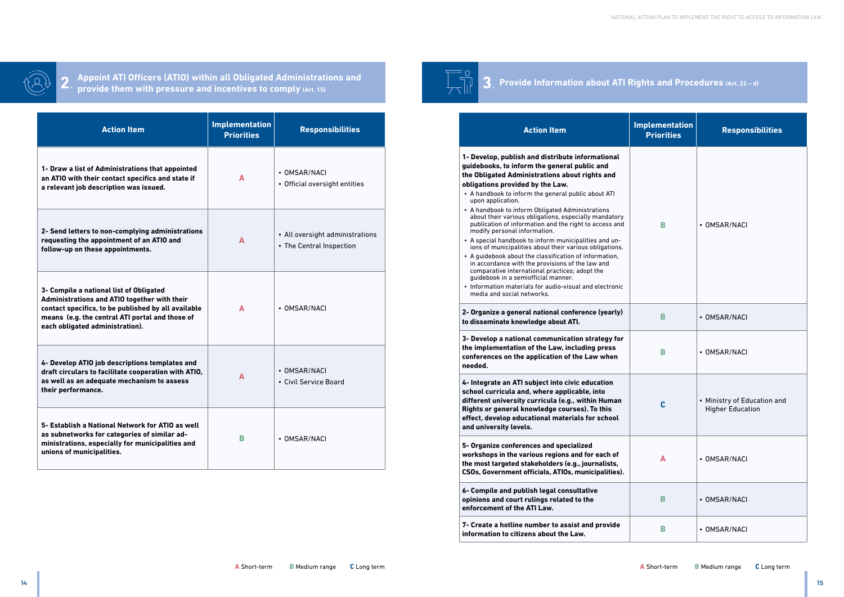

**Appoint ATI Officers (ATIO) within all Obligated Administrations and provide them with pressure and incentives to comply (Art. 15) 2**.

| <b>Action Item</b>                                                                                                                                                                                                                   | <b>Implementation</b><br><b>Priorities</b> | <b>Responsibilities</b>                                     |
|--------------------------------------------------------------------------------------------------------------------------------------------------------------------------------------------------------------------------------------|--------------------------------------------|-------------------------------------------------------------|
| 1- Draw a list of Administrations that appointed<br>an ATIO with their contact specifics and state if<br>a relevant job description was issued.                                                                                      | A                                          | • OMSAR/NACI<br>• Official oversight entities               |
| 2- Send letters to non-complying administrations<br>requesting the appointment of an ATIO and<br>follow-up on these appointments.                                                                                                    | A                                          | • All oversight administrations<br>• The Central Inspection |
| 3- Compile a national list of Obligated<br>Administrations and ATIO together with their<br>contact specifics, to be published by all available<br>means (e.g. the central ATI portal and those of<br>each obligated administration). | A                                          | • OMSAR/NACI                                                |
| 4- Develop ATIO job descriptions templates and<br>draft circulars to facilitate cooperation with ATIO,<br>as well as an adequate mechanism to assess<br>their performance.                                                           | Δ                                          | • OMSAR/NACI<br>• Civil Service Board                       |
| 5- Establish a National Network for ATIO as well<br>as subnetworks for categories of similar ad-<br>ministrations, especially for municipalities and<br>unions of municipalities.                                                    | в                                          | • OMSAR/NACI                                                |

**7- Create a hotline number to assist and provide information to citizens about the Law.** 



| mplementation<br><b>Priorities</b> | <b>Responsibilities</b>                                |
|------------------------------------|--------------------------------------------------------|
| B                                  | <b>OMSAR/NACI</b>                                      |
| B                                  | • OMSAR/NACI                                           |
| B                                  | • OMSAR/NACI                                           |
| C                                  | • Ministry of Education and<br><b>Higher Education</b> |
| A                                  | • OMSAR/NACI                                           |
| B                                  | • OMSAR/NACI                                           |
| B                                  | • OMSAR/NACI                                           |

# **Provide Information about ATI Rights and Procedures (Art. 22 – d) 3**.

**5- Organize conferences and specialized workshops in the various regions and for each of the most targeted stakeholders (e.g., journalists, CSOs, Government officials, ATIOs, municipalities).**

**6- Compile and publish legal consultative opinions and court rulings related to the enforcement of the ATI Law.**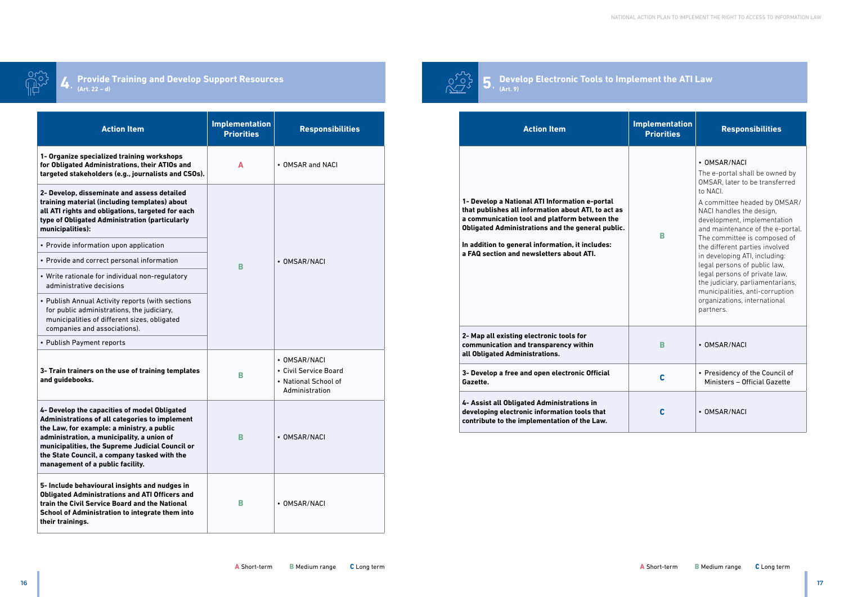**Develop Electronic Tools to Implement the ATI Law (Art. 9)**



#### **Provide Training and Develop Support Resources 4** Provide Training and Develop Support Resources  $\bigcirc^{\sum\limits_{i=1}^{n} 1} 5$ .

| <b>Action Item</b>                                                                                                                                                                                                                                                                                                 | <b>Implementation</b><br><b>Priorities</b> | <b>Responsibilities</b>                                                                                                                                                                                                                                                                                                                                                                                                                                                                                       |
|--------------------------------------------------------------------------------------------------------------------------------------------------------------------------------------------------------------------------------------------------------------------------------------------------------------------|--------------------------------------------|---------------------------------------------------------------------------------------------------------------------------------------------------------------------------------------------------------------------------------------------------------------------------------------------------------------------------------------------------------------------------------------------------------------------------------------------------------------------------------------------------------------|
| 1- Develop a National ATI Information e-portal<br>that publishes all information about ATI, to act as<br>a communication tool and platform between the<br><b>Obligated Administrations and the general public.</b><br>In addition to general information, it includes:<br>a FAQ section and newsletters about ATI. | B                                          | • OMSAR/NACI<br>The e-portal shall be owned by<br>OMSAR, later to be transferred<br>to NACI.<br>A committee headed by OMSA<br>NACI handles the design,<br>development, implementation<br>and maintenance of the e-port<br>The committee is composed of<br>the different parties involved<br>in developing ATI, including:<br>legal persons of public law,<br>legal persons of private law,<br>the judiciary, parliamentarians<br>municipalities, anti-corruption<br>organizations, international<br>partners. |
| 2- Map all existing electronic tools for<br>communication and transparency within<br>all Obligated Administrations.                                                                                                                                                                                                | B                                          | • OMSAR/NACI                                                                                                                                                                                                                                                                                                                                                                                                                                                                                                  |
| 3- Develop a free and open electronic Official<br>Gazette.                                                                                                                                                                                                                                                         | C                                          | • Presidency of the Council of<br>Ministers - Official Gazette                                                                                                                                                                                                                                                                                                                                                                                                                                                |
| 4- Assist all Obligated Administrations in<br>developing electronic information tools that<br>contribute to the implementation of the Law.                                                                                                                                                                         | C                                          | • OMSAR/NACI                                                                                                                                                                                                                                                                                                                                                                                                                                                                                                  |

| nplementation<br><b>Priorities</b> | <b>Responsibilities</b>                                                                                                                                                                                                                                                                                                                                                                                                                                                                                            |
|------------------------------------|--------------------------------------------------------------------------------------------------------------------------------------------------------------------------------------------------------------------------------------------------------------------------------------------------------------------------------------------------------------------------------------------------------------------------------------------------------------------------------------------------------------------|
| R                                  | • OMSAR/NACI<br>The e-portal shall be owned by<br>OMSAR, later to be transferred<br>to NACL<br>A committee headed by OMSAR/<br>NACI handles the design,<br>development, implementation<br>and maintenance of the e-portal.<br>The committee is composed of<br>the different parties involved<br>in developing ATI, including:<br>legal persons of public law,<br>legal persons of private law,<br>the judiciary, parliamentarians,<br>municipalities, anti-corruption<br>organizations, international<br>partners. |
| B                                  | OMSAR/NACI                                                                                                                                                                                                                                                                                                                                                                                                                                                                                                         |
| C                                  | • Presidency of the Council of<br>Ministers - Official Gazette                                                                                                                                                                                                                                                                                                                                                                                                                                                     |
| C                                  | OMSAR/NACI                                                                                                                                                                                                                                                                                                                                                                                                                                                                                                         |

| <b>Action Item</b>                                                                                                                                                                                                                                                                                                                | <b>Implementation</b><br><b>Priorities</b> | <b>Responsibilities</b>                                                         |  |
|-----------------------------------------------------------------------------------------------------------------------------------------------------------------------------------------------------------------------------------------------------------------------------------------------------------------------------------|--------------------------------------------|---------------------------------------------------------------------------------|--|
| 1- Organize specialized training workshops<br>for Obligated Administrations, their ATIOs and<br>targeted stakeholders (e.g., journalists and CSOs).                                                                                                                                                                               | A                                          | • OMSAR and NACI                                                                |  |
| 2- Develop, disseminate and assess detailed<br>training material (including templates) about<br>all ATI rights and obligations, targeted for each<br>type of Obligated Administration (particularly<br>municipalities):                                                                                                           |                                            |                                                                                 |  |
| • Provide information upon application                                                                                                                                                                                                                                                                                            |                                            |                                                                                 |  |
| • Provide and correct personal information                                                                                                                                                                                                                                                                                        | в                                          | • OMSAR/NACI                                                                    |  |
| • Write rationale for individual non-regulatory<br>administrative decisions                                                                                                                                                                                                                                                       |                                            |                                                                                 |  |
| • Publish Annual Activity reports (with sections<br>for public administrations, the judiciary,<br>municipalities of different sizes, obligated<br>companies and associations).                                                                                                                                                    |                                            |                                                                                 |  |
| • Publish Payment reports                                                                                                                                                                                                                                                                                                         |                                            |                                                                                 |  |
| 3- Train trainers on the use of training templates<br>and guidebooks.                                                                                                                                                                                                                                                             | в                                          | • OMSAR/NACI<br>• Civil Service Board<br>• National School of<br>Administration |  |
| 4- Develop the capacities of model Obligated<br>Administrations of all categories to implement<br>the Law, for example: a ministry, a public<br>administration, a municipality, a union of<br>municipalities, the Supreme Judicial Council or<br>the State Council, a company tasked with the<br>management of a public facility. | в                                          | • OMSAR/NACI                                                                    |  |
| 5- Include behavioural insights and nudges in<br><b>Obligated Administrations and ATI Officers and</b><br>train the Civil Service Board and the National<br>School of Administration to integrate them into<br>their trainings.                                                                                                   | в                                          | • OMSAR/NACI                                                                    |  |

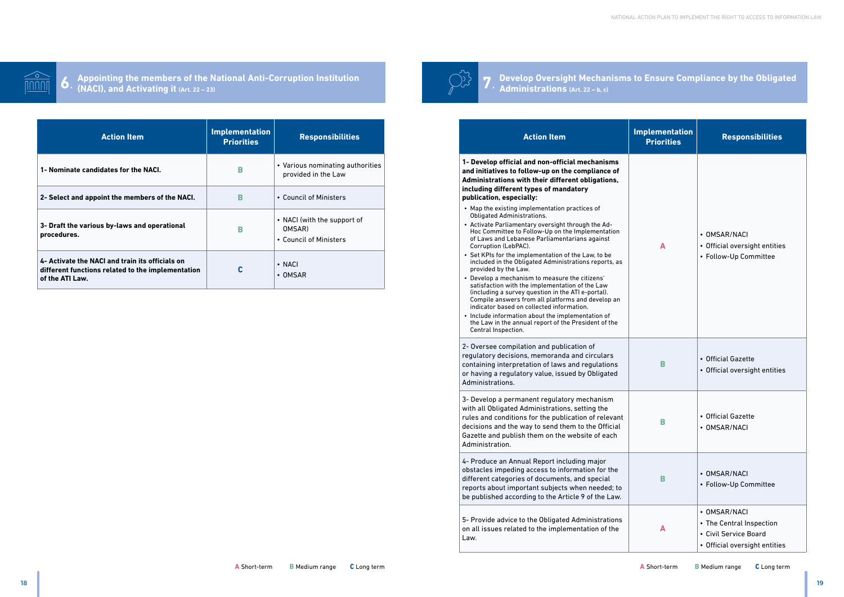# **Develop Oversight Mechanisms to Ensure Compliance by the Obligated**

**Administrations (Art. 22 – b, c)**

# **Action Item 1- Develop official and non-official mechanisms and initiatives to follow-up on the compliance of Administrations with their different obligations, including different types of mandatory publication, especially:** • Map the existing implementation practices of Obligated Administrations.

- Activate Parliamentary oversight through the Ad-Hoc Committee to Follow-Up on the Implementation of Laws and Lebanese Parliamentarians against Corruption (LebPAC).
- Set KPIs for the implementation of the Law, to be included in the Obligated Administrations reports, as provided by the Law.
- Develop a mechanism to measure the citizens' satisfaction with the implementation of the Law (including a survey question in the ATI e-portal). Compile answers from all platforms and develop an indicator based on collected information.
- Include information about the implementation of the Law in the annual report of the President of the Central Inspection.



**Appointing the members of the National Anti-Corruption Institution (Appointing the members of the National Anti-Corruption Institution**  $\bigcup_{\ell} \bigcup_{\ell} \bigcap_{\ell} \bigcap_{\ell}$ 

| mplementation<br><b>Priorities</b> | <b>Responsibilities</b>                                                                                              |
|------------------------------------|----------------------------------------------------------------------------------------------------------------------|
| A                                  | • OMSAR/NACI<br>• Official oversight entities<br>• Follow-Up Committee                                               |
| B                                  | • Official Gazette<br>• Official oversight entities                                                                  |
| В                                  | • Official Gazette<br>• OMSAR/NACI                                                                                   |
| B                                  | OMSAR/NACI<br>• Follow-Up Committee                                                                                  |
| Δ                                  | <b>OMSAR/NACI</b><br>$\bullet$<br>• The Central Inspection<br>• Civil Service Board<br>• Official oversight entities |

2- Oversee compilation and publication of regulatory decisions, memoranda and circulars containing interpretation of laws and regulations or having a regulatory value, issued by Obligated Administrations.

3- Develop a permanent regulatory mechanism with all Obligated Administrations, setting the rules and conditions for the publication of relevant decisions and the way to send them to the Official Gazette and publish them on the website of each Administration.

4- Produce an Annual Report including major obstacles impeding access to information for the different categories of documents, and special reports about important subjects when needed; to be published according to the Article 9 of the Law.

5- Provide advice to the Obligated Administrations on all issues related to the implementation of the Law.

| <b>Action Item</b>                                                                                                      | <b>Implementation</b><br><b>Priorities</b> | <b>Responsibilities</b>                                         |
|-------------------------------------------------------------------------------------------------------------------------|--------------------------------------------|-----------------------------------------------------------------|
| 1- Nominate candidates for the NACI.                                                                                    | в                                          | • Various nominating authorities<br>provided in the Law         |
| 2- Select and appoint the members of the NACI.                                                                          | B                                          | • Council of Ministers                                          |
| 3- Draft the various by-laws and operational<br>procedures.                                                             | в                                          | • NACI (with the support of<br>OMSAR)<br>• Council of Ministers |
| 4- Activate the NACI and train its officials on<br>different functions related to the implementation<br>of the ATI Law. | C                                          | $\cdot$ NACI<br>$\cdot$ OMSAR                                   |

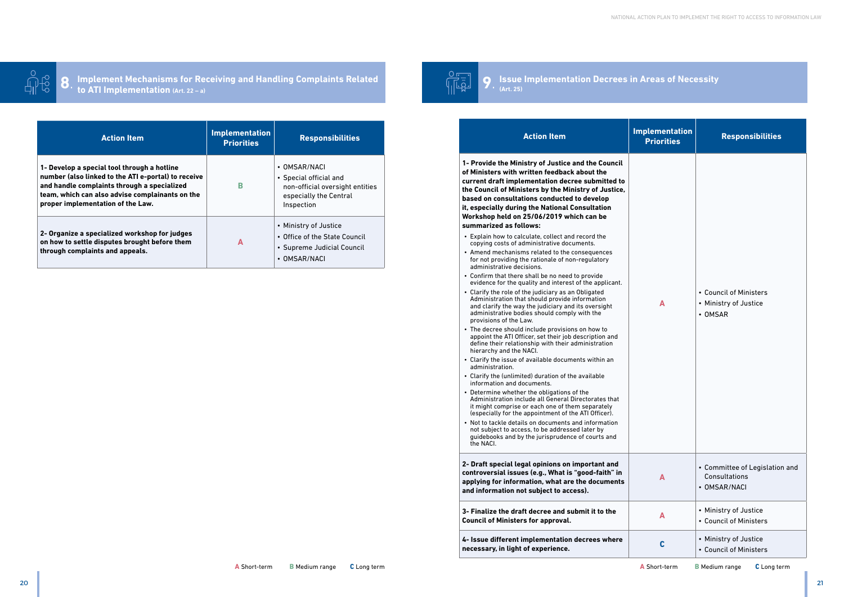# **Issue Implementation Decrees in Areas of Necessity**

**(Art. 25)**



- Explain how to calculate, collect and record the copying costs of administrative documents.
- Amend mechanisms related to the consequences for not providing the rationale of non-regulatory administrative decisions.
- Confirm that there shall be no need to provide evidence for the quality and interest of the applicant.
- Clarify the role of the judiciary as an Obligated Administration that should provide information and clarify the way the judiciary and its oversight administrative bodies should comply with the provisions of the Law.
- The decree should include provisions on how to appoint the ATI Officer, set their job description and define their relationship with their administration hierarchy and the NACI.
- Clarify the issue of available documents within an administration.
- Clarify the (unlimited) duration of the available information and documents.
- Determine whether the obligations of the Administration include all General Directorates that it might comprise or each one of them separately (especially for the appointment of the ATI Officer).
- Not to tackle details on documents and information not subject to access, to be addressed later by guidebooks and by the jurisprudence of courts and the NACI.



**I**mplement Mechanisms for Receiving and Handling Complaints Related **19. In the set of the UP**  $\left(\begin{array}{cc} \sqrt{2} & \sqrt{2} \\ \sqrt{2} & \sqrt{2} \end{array}\right)$ **to ATI Implementation (Art. 22 – a)**

| nentation<br>orities | <b>Responsibilities</b>                                                                                           | <b>Action Item</b>                                                                                                                                                                                                                                                                                                                                                                          | <b>Implementation</b><br><b>Priorities</b> | <b>Responsibilities</b>                                         |  |
|----------------------|-------------------------------------------------------------------------------------------------------------------|---------------------------------------------------------------------------------------------------------------------------------------------------------------------------------------------------------------------------------------------------------------------------------------------------------------------------------------------------------------------------------------------|--------------------------------------------|-----------------------------------------------------------------|--|
|                      | • OMSAR/NACI<br>• Special official and<br>non-official oversight entities<br>especially the Central<br>Inspection | 1- Provide the Ministry of Justice and the Council<br>of Ministers with written feedback about the<br>current draft implementation decree submitted to<br>the Council of Ministers by the Ministry of Justice,<br>based on consultations conducted to develop<br>it, especially during the National Consultation                                                                            |                                            |                                                                 |  |
|                      | • Ministry of Justice<br>• Office of the State Council<br>• Supreme Judicial Council<br>• OMSAR/NACI              | Workshop held on 25/06/2019 which can be<br>summarized as follows:<br>• Explain how to calculate, collect and record the<br>copying costs of administrative documents.<br>• Amend mechanisms related to the consequences<br>for not providing the rationale of non-regulatory<br>administrative decisions.                                                                                  |                                            |                                                                 |  |
|                      |                                                                                                                   | • Confirm that there shall be no need to provide<br>evidence for the quality and interest of the applicant.<br>• Clarify the role of the judiciary as an Obligated<br>Administration that should provide information<br>and clarify the way the judiciary and its oversight<br>administrative bodies should comply with the                                                                 | A                                          | • Council of Ministers<br>• Ministry of Justice<br>• OMSAR      |  |
|                      |                                                                                                                   | provisions of the Law.<br>• The decree should include provisions on how to<br>appoint the ATI Officer, set their job description and<br>define their relationship with their administration<br>hierarchy and the NACI.                                                                                                                                                                      |                                            |                                                                 |  |
|                      |                                                                                                                   | • Clarify the issue of available documents within an<br>administration.<br>• Clarify the (unlimited) duration of the available<br>information and documents.                                                                                                                                                                                                                                |                                            |                                                                 |  |
|                      |                                                                                                                   | • Determine whether the obligations of the<br>Administration include all General Directorates that<br>it might comprise or each one of them separately<br>(especially for the appointment of the ATI Officer).<br>• Not to tackle details on documents and information<br>not subject to access, to be addressed later by<br>guidebooks and by the jurisprudence of courts and<br>the NACI. |                                            |                                                                 |  |
|                      |                                                                                                                   | 2- Draft special legal opinions on important and<br>controversial issues (e.g., What is "good-faith" in<br>applying for information, what are the documents<br>and information not subject to access).                                                                                                                                                                                      | A                                          | • Committee of Legislation and<br>Consultations<br>• OMSAR/NACI |  |
|                      |                                                                                                                   | 3- Finalize the draft decree and submit it to the<br><b>Council of Ministers for approval.</b>                                                                                                                                                                                                                                                                                              | A                                          | • Ministry of Justice<br>• Council of Ministers                 |  |
|                      |                                                                                                                   | 4- Issue different implementation decrees where                                                                                                                                                                                                                                                                                                                                             | $\mathbf c$                                | • Ministry of Justice                                           |  |

| <b>Action Item</b>                                                                                                                                                                                                                        | <b>Implementation</b><br><b>Priorities</b> | <b>Responsibilities</b>                                                                                           |
|-------------------------------------------------------------------------------------------------------------------------------------------------------------------------------------------------------------------------------------------|--------------------------------------------|-------------------------------------------------------------------------------------------------------------------|
| 1- Develop a special tool through a hotline<br>number (also linked to the ATI e-portal) to receive<br>and handle complaints through a specialized<br>team, which can also advise complainants on the<br>proper implementation of the Law. | В                                          | • OMSAR/NACI<br>• Special official and<br>non-official oversight entities<br>especially the Central<br>Inspection |
| 2- Organize a specialized workshop for judges<br>on how to settle disputes brought before them<br>through complaints and appeals.                                                                                                         | A                                          | • Ministry of Justice<br>• Office of the State Council<br>• Supreme Judicial Council<br>• OMSAR/NACI              |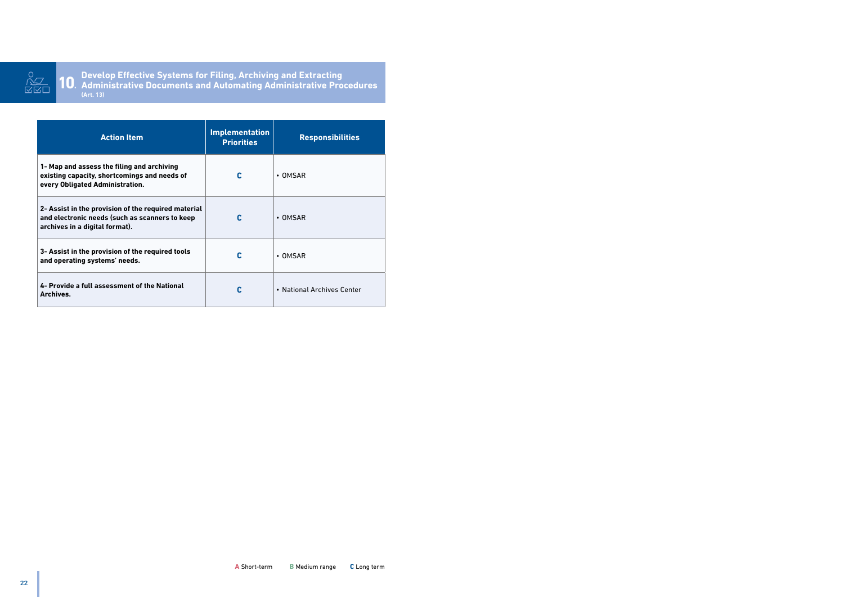

**Develop Effective Systems for Filing, Archiving and Extracting Administrative Documents and Automating Administrative Procedures (Art. 13) 10**.

| <b>Action Item</b>                                                                                                                      | <b>Implementation</b><br><b>Priorities</b> | <b>Responsibilities</b>    |
|-----------------------------------------------------------------------------------------------------------------------------------------|--------------------------------------------|----------------------------|
| 1- Map and assess the filing and archiving<br>existing capacity, shortcomings and needs of<br>every Obligated Administration.           | C                                          | $\cdot$ OMSAR              |
| 2- Assist in the provision of the required material<br>and electronic needs (such as scanners to keep<br>archives in a digital format). |                                            | $\cdot$ OMSAR              |
| 3- Assist in the provision of the required tools<br>and operating systems' needs.                                                       | C                                          | $\bullet$ OMSAR            |
| 4- Provide a full assessment of the National<br>Archives.                                                                               | C                                          | • National Archives Center |